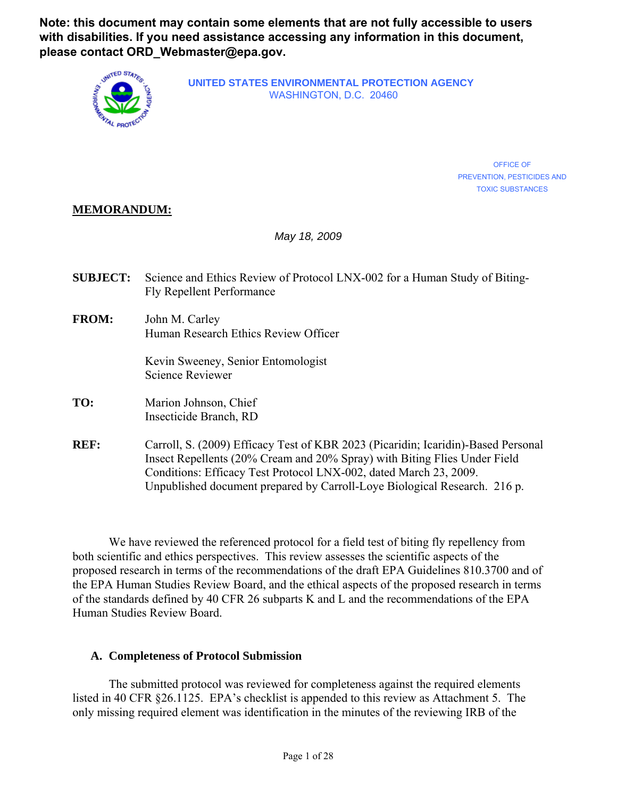**Note: this document may contain some elements that are not fully accessible to users with disabilities. If you need assistance accessing any information in this document, please contact ORD\_Webmaster@epa.gov.**



**UNITED STATES ENVIRONMENTAL PROTECTION AGENCY** WASHINGTON, D.C. 20460

> OFFICE OF PREVENTION, PESTICIDES AND TOXIC SUBSTANCES

# **MEMORANDUM:**

*May 18, 2009*

- **SUBJECT:** Science and Ethics Review of Protocol LNX-002 for a Human Study of Biting-Fly Repellent Performance
- **FROM:** John M. Carley Human Research Ethics Review Officer

Kevin Sweeney, Senior Entomologist Science Reviewer

- **TO:** Marion Johnson, Chief Insecticide Branch, RD
- **REF:** Carroll, S. (2009) Efficacy Test of KBR 2023 (Picaridin; Icaridin)-Based Personal Insect Repellents (20% Cream and 20% Spray) with Biting Flies Under Field Conditions: Efficacy Test Protocol LNX-002, dated March 23, 2009. Unpublished document prepared by Carroll-Loye Biological Research. 216 p.

We have reviewed the referenced protocol for a field test of biting fly repellency from both scientific and ethics perspectives. This review assesses the scientific aspects of the proposed research in terms of the recommendations of the draft EPA Guidelines 810.3700 and of the EPA Human Studies Review Board, and the ethical aspects of the proposed research in terms of the standards defined by 40 CFR 26 subparts K and L and the recommendations of the EPA Human Studies Review Board.

# **A. Completeness of Protocol Submission**

The submitted protocol was reviewed for completeness against the required elements listed in 40 CFR §26.1125. EPA's checklist is appended to this review as Attachment 5. The only missing required element was identification in the minutes of the reviewing IRB of the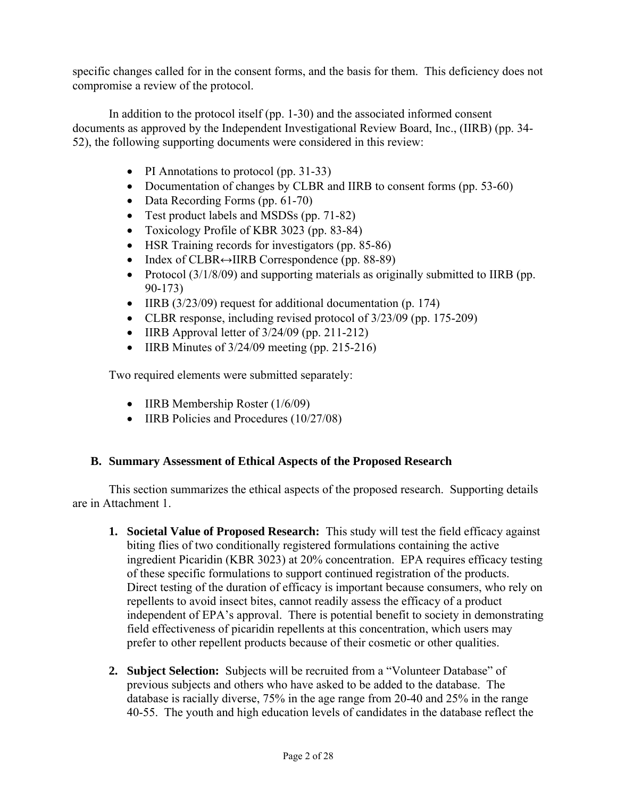specific changes called for in the consent forms, and the basis for them. This deficiency does not compromise a review of the protocol.

In addition to the protocol itself (pp. 1-30) and the associated informed consent documents as approved by the Independent Investigational Review Board, Inc., (IIRB) (pp. 34- 52), the following supporting documents were considered in this review:

- PI Annotations to protocol (pp. 31-33)
- Documentation of changes by CLBR and IIRB to consent forms (pp. 53-60)
- Data Recording Forms (pp. 61-70)
- Test product labels and MSDSs (pp. 71-82)
- Toxicology Profile of KBR 3023 (pp. 83-84)
- HSR Training records for investigators (pp. 85-86)
- Index of CLBR↔IIRB Correspondence (pp. 88-89)
- Protocol (3/1/8/09) and supporting materials as originally submitted to IIRB (pp. 90-173)
- IIRB (3/23/09) request for additional documentation (p. 174)
- CLBR response, including revised protocol of  $3/23/09$  (pp. 175-209)
- IIRB Approval letter of  $3/24/09$  (pp. 211-212)
- IIRB Minutes of  $3/24/09$  meeting (pp. 215-216)

Two required elements were submitted separately:

- IIRB Membership Roster (1/6/09)
- IIRB Policies and Procedures (10/27/08)

# **B. Summary Assessment of Ethical Aspects of the Proposed Research**

This section summarizes the ethical aspects of the proposed research. Supporting details are in Attachment 1.

- **1. Societal Value of Proposed Research:** This study will test the field efficacy against biting flies of two conditionally registered formulations containing the active ingredient Picaridin (KBR 3023) at 20% concentration. EPA requires efficacy testing of these specific formulations to support continued registration of the products. Direct testing of the duration of efficacy is important because consumers, who rely on repellents to avoid insect bites, cannot readily assess the efficacy of a product independent of EPA's approval. There is potential benefit to society in demonstrating field effectiveness of picaridin repellents at this concentration, which users may prefer to other repellent products because of their cosmetic or other qualities.
- **2. Subject Selection:** Subjects will be recruited from a "Volunteer Database" of previous subjects and others who have asked to be added to the database. The database is racially diverse, 75% in the age range from 20-40 and 25% in the range 40-55. The youth and high education levels of candidates in the database reflect the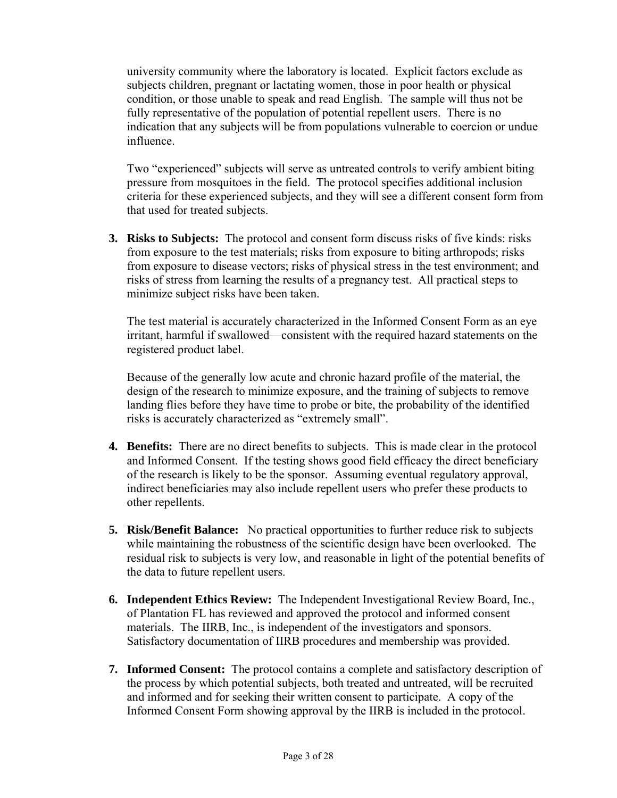university community where the laboratory is located. Explicit factors exclude as subjects children, pregnant or lactating women, those in poor health or physical condition, or those unable to speak and read English. The sample will thus not be fully representative of the population of potential repellent users. There is no indication that any subjects will be from populations vulnerable to coercion or undue influence.

Two "experienced" subjects will serve as untreated controls to verify ambient biting pressure from mosquitoes in the field. The protocol specifies additional inclusion criteria for these experienced subjects, and they will see a different consent form from that used for treated subjects.

**3. Risks to Subjects:** The protocol and consent form discuss risks of five kinds: risks from exposure to the test materials; risks from exposure to biting arthropods; risks from exposure to disease vectors; risks of physical stress in the test environment; and risks of stress from learning the results of a pregnancy test. All practical steps to minimize subject risks have been taken.

The test material is accurately characterized in the Informed Consent Form as an eye irritant, harmful if swallowed—consistent with the required hazard statements on the registered product label.

Because of the generally low acute and chronic hazard profile of the material, the design of the research to minimize exposure, and the training of subjects to remove landing flies before they have time to probe or bite, the probability of the identified risks is accurately characterized as "extremely small".

- **4. Benefits:** There are no direct benefits to subjects. This is made clear in the protocol and Informed Consent. If the testing shows good field efficacy the direct beneficiary of the research is likely to be the sponsor. Assuming eventual regulatory approval, indirect beneficiaries may also include repellent users who prefer these products to other repellents.
- **5. Risk/Benefit Balance:** No practical opportunities to further reduce risk to subjects while maintaining the robustness of the scientific design have been overlooked. The residual risk to subjects is very low, and reasonable in light of the potential benefits of the data to future repellent users.
- **6. Independent Ethics Review:** The Independent Investigational Review Board, Inc., of Plantation FL has reviewed and approved the protocol and informed consent materials. The IIRB, Inc., is independent of the investigators and sponsors. Satisfactory documentation of IIRB procedures and membership was provided.
- **7. Informed Consent:** The protocol contains a complete and satisfactory description of the process by which potential subjects, both treated and untreated, will be recruited and informed and for seeking their written consent to participate. A copy of the Informed Consent Form showing approval by the IIRB is included in the protocol.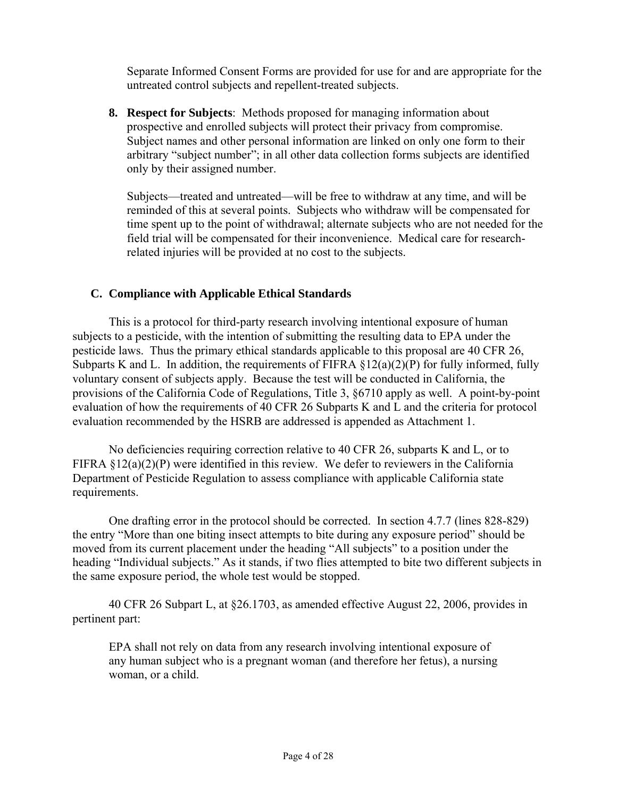Separate Informed Consent Forms are provided for use for and are appropriate for the untreated control subjects and repellent-treated subjects.

**8. Respect for Subjects**: Methods proposed for managing information about prospective and enrolled subjects will protect their privacy from compromise. Subject names and other personal information are linked on only one form to their arbitrary "subject number"; in all other data collection forms subjects are identified only by their assigned number.

Subjects—treated and untreated—will be free to withdraw at any time, and will be reminded of this at several points. Subjects who withdraw will be compensated for time spent up to the point of withdrawal; alternate subjects who are not needed for the field trial will be compensated for their inconvenience. Medical care for researchrelated injuries will be provided at no cost to the subjects.

# **C. Compliance with Applicable Ethical Standards**

This is a protocol for third-party research involving intentional exposure of human subjects to a pesticide, with the intention of submitting the resulting data to EPA under the pesticide laws. Thus the primary ethical standards applicable to this proposal are 40 CFR 26, Subparts K and L. In addition, the requirements of FIFRA  $\S 12(a)(2)(P)$  for fully informed, fully voluntary consent of subjects apply. Because the test will be conducted in California, the provisions of the California Code of Regulations, Title 3, §6710 apply as well. A point-by-point evaluation of how the requirements of 40 CFR 26 Subparts K and L and the criteria for protocol evaluation recommended by the HSRB are addressed is appended as Attachment 1.

No deficiencies requiring correction relative to 40 CFR 26, subparts K and L, or to FIFRA  $\S 12(a)(2)(P)$  were identified in this review. We defer to reviewers in the California Department of Pesticide Regulation to assess compliance with applicable California state requirements.

One drafting error in the protocol should be corrected. In section 4.7.7 (lines 828-829) the entry "More than one biting insect attempts to bite during any exposure period" should be moved from its current placement under the heading "All subjects" to a position under the heading "Individual subjects." As it stands, if two flies attempted to bite two different subjects in the same exposure period, the whole test would be stopped.

40 CFR 26 Subpart L, at §26.1703, as amended effective August 22, 2006, provides in pertinent part:

EPA shall not rely on data from any research involving intentional exposure of any human subject who is a pregnant woman (and therefore her fetus), a nursing woman, or a child.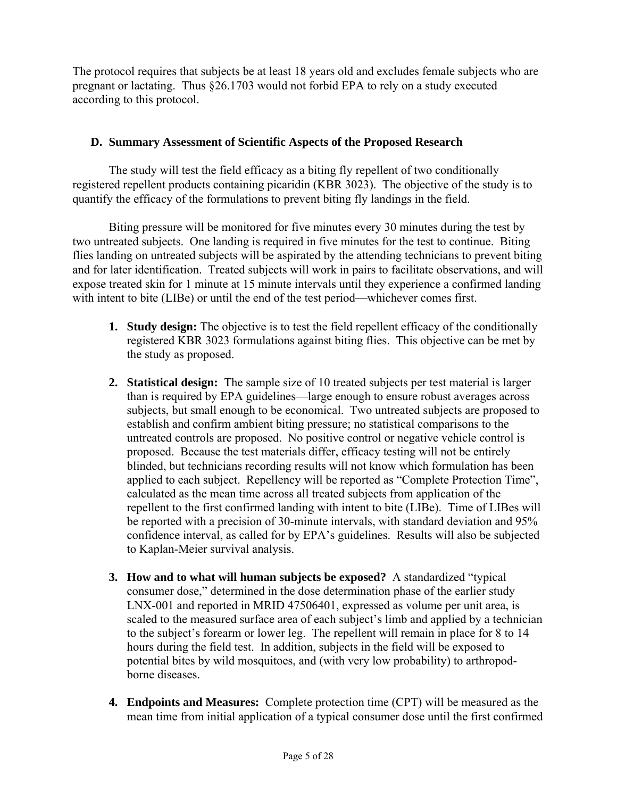The protocol requires that subjects be at least 18 years old and excludes female subjects who are pregnant or lactating. Thus §26.1703 would not forbid EPA to rely on a study executed according to this protocol.

# **D. Summary Assessment of Scientific Aspects of the Proposed Research**

The study will test the field efficacy as a biting fly repellent of two conditionally registered repellent products containing picaridin (KBR 3023). The objective of the study is to quantify the efficacy of the formulations to prevent biting fly landings in the field.

Biting pressure will be monitored for five minutes every 30 minutes during the test by two untreated subjects. One landing is required in five minutes for the test to continue. Biting flies landing on untreated subjects will be aspirated by the attending technicians to prevent biting and for later identification. Treated subjects will work in pairs to facilitate observations, and will expose treated skin for 1 minute at 15 minute intervals until they experience a confirmed landing with intent to bite (LIBe) or until the end of the test period—whichever comes first.

- **1. Study design:** The objective is to test the field repellent efficacy of the conditionally registered KBR 3023 formulations against biting flies. This objective can be met by the study as proposed.
- **2. Statistical design:** The sample size of 10 treated subjects per test material is larger than is required by EPA guidelines—large enough to ensure robust averages across subjects, but small enough to be economical. Two untreated subjects are proposed to establish and confirm ambient biting pressure; no statistical comparisons to the untreated controls are proposed. No positive control or negative vehicle control is proposed. Because the test materials differ, efficacy testing will not be entirely blinded, but technicians recording results will not know which formulation has been applied to each subject. Repellency will be reported as "Complete Protection Time", calculated as the mean time across all treated subjects from application of the repellent to the first confirmed landing with intent to bite (LIBe). Time of LIBes will be reported with a precision of 30-minute intervals, with standard deviation and 95% confidence interval, as called for by EPA's guidelines. Results will also be subjected to Kaplan-Meier survival analysis.
- **3. How and to what will human subjects be exposed?** A standardized "typical consumer dose," determined in the dose determination phase of the earlier study LNX-001 and reported in MRID 47506401, expressed as volume per unit area, is scaled to the measured surface area of each subject's limb and applied by a technician to the subject's forearm or lower leg. The repellent will remain in place for 8 to 14 hours during the field test. In addition, subjects in the field will be exposed to potential bites by wild mosquitoes, and (with very low probability) to arthropodborne diseases.
- **4. Endpoints and Measures:** Complete protection time (CPT) will be measured as the mean time from initial application of a typical consumer dose until the first confirmed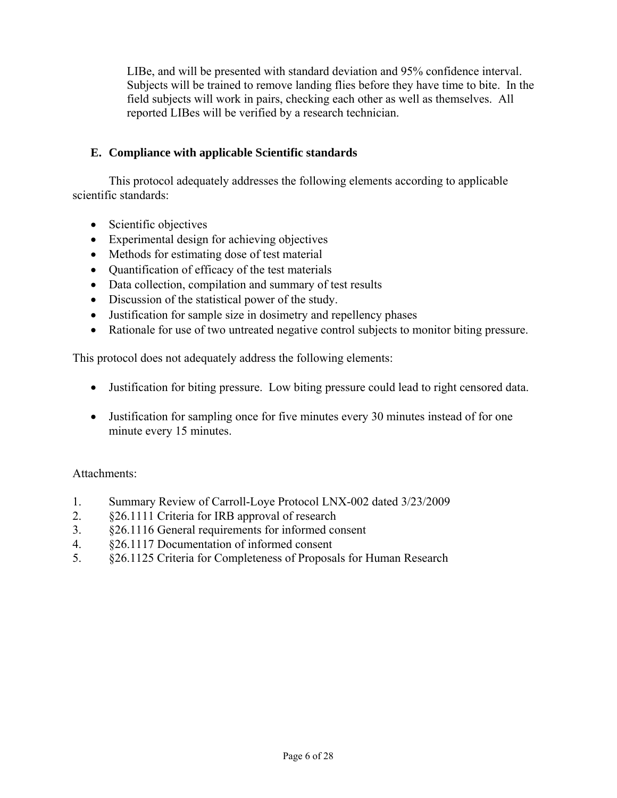LIBe, and will be presented with standard deviation and 95% confidence interval. Subjects will be trained to remove landing flies before they have time to bite. In the field subjects will work in pairs, checking each other as well as themselves. All reported LIBes will be verified by a research technician.

# **E. Compliance with applicable Scientific standards**

This protocol adequately addresses the following elements according to applicable scientific standards:

- Scientific objectives
- Experimental design for achieving objectives
- Methods for estimating dose of test material
- Quantification of efficacy of the test materials
- Data collection, compilation and summary of test results
- Discussion of the statistical power of the study.
- Justification for sample size in dosimetry and repellency phases
- Rationale for use of two untreated negative control subjects to monitor biting pressure.

This protocol does not adequately address the following elements:

- Justification for biting pressure. Low biting pressure could lead to right censored data.
- Justification for sampling once for five minutes every 30 minutes instead of for one minute every 15 minutes.

# Attachments:

- 1. Summary Review of Carroll-Loye Protocol LNX-002 dated 3/23/2009
- 2. §26.1111 Criteria for IRB approval of research
- 3. §26.1116 General requirements for informed consent
- 4. §26.1117 Documentation of informed consent
- 5. §26.1125 Criteria for Completeness of Proposals for Human Research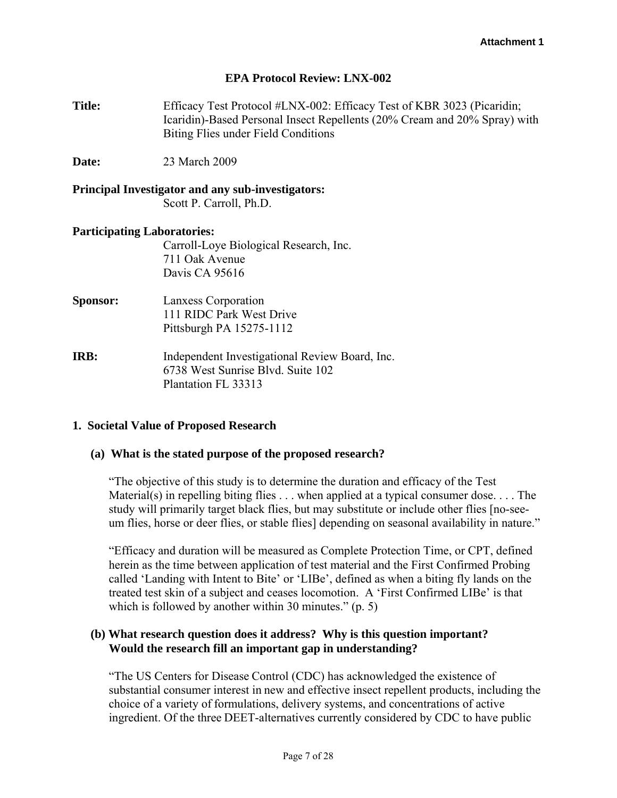### **EPA Protocol Review: LNX-002**

**Title:** Efficacy Test Protocol #LNX-002: Efficacy Test of KBR 3023 (Picaridin; Icaridin)-Based Personal Insect Repellents (20% Cream and 20% Spray) with Biting Flies under Field Conditions

**Date:** 23 March 2009

## **Principal Investigator and any sub-investigators:**  Scott P. Carroll, Ph.D.

#### **Participating Laboratories:**

Carroll-Loye Biological Research, Inc. 711 Oak Avenue Davis CA 95616

- **Sponsor:** Lanxess Corporation 111 RIDC Park West Drive Pittsburgh PA 15275-1112
- **IRB:** Independent Investigational Review Board, Inc. 6738 West Sunrise Blvd. Suite 102 Plantation FL 33313

#### **1. Societal Value of Proposed Research**

### **(a) What is the stated purpose of the proposed research?**

"The objective of this study is to determine the duration and efficacy of the Test Material(s) in repelling biting flies . . . when applied at a typical consumer dose. . . . The study will primarily target black flies, but may substitute or include other flies [no-seeum flies, horse or deer flies, or stable flies] depending on seasonal availability in nature."

"Efficacy and duration will be measured as Complete Protection Time, or CPT, defined herein as the time between application of test material and the First Confirmed Probing called 'Landing with Intent to Bite' or 'LIBe', defined as when a biting fly lands on the treated test skin of a subject and ceases locomotion. A 'First Confirmed LIBe' is that which is followed by another within 30 minutes." (p. 5)

## **(b) What research question does it address? Why is this question important? Would the research fill an important gap in understanding?**

"The US Centers for Disease Control (CDC) has acknowledged the existence of substantial consumer interest in new and effective insect repellent products, including the choice of a variety of formulations, delivery systems, and concentrations of active ingredient. Of the three DEET-alternatives currently considered by CDC to have public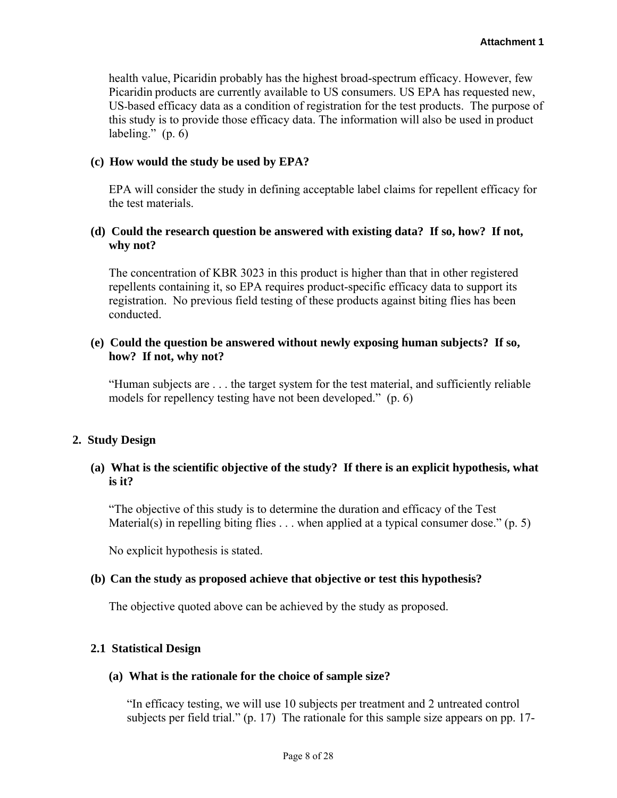health value, Picaridin probably has the highest broad-spectrum efficacy. However, few Picaridin products are currently available to US consumers. US EPA has requested new, US-based efficacy data as a condition of registration for the test products. The purpose of this study is to provide those efficacy data. The information will also be used in product labeling."  $(p. 6)$ 

### **(c) How would the study be used by EPA?**

EPA will consider the study in defining acceptable label claims for repellent efficacy for the test materials.

## **(d) Could the research question be answered with existing data? If so, how? If not, why not?**

The concentration of KBR 3023 in this product is higher than that in other registered repellents containing it, so EPA requires product-specific efficacy data to support its registration. No previous field testing of these products against biting flies has been conducted.

## **(e) Could the question be answered without newly exposing human subjects? If so, how? If not, why not?**

"Human subjects are . . . the target system for the test material, and sufficiently reliable models for repellency testing have not been developed." (p. 6)

## **2. Study Design**

# **(a) What is the scientific objective of the study? If there is an explicit hypothesis, what is it?**

"The objective of this study is to determine the duration and efficacy of the Test Material(s) in repelling biting flies  $\ldots$  when applied at a typical consumer dose." (p. 5)

No explicit hypothesis is stated.

## **(b) Can the study as proposed achieve that objective or test this hypothesis?**

The objective quoted above can be achieved by the study as proposed.

## **2.1 Statistical Design**

## **(a) What is the rationale for the choice of sample size?**

"In efficacy testing, we will use 10 subjects per treatment and 2 untreated control subjects per field trial." (p. 17) The rationale for this sample size appears on pp. 17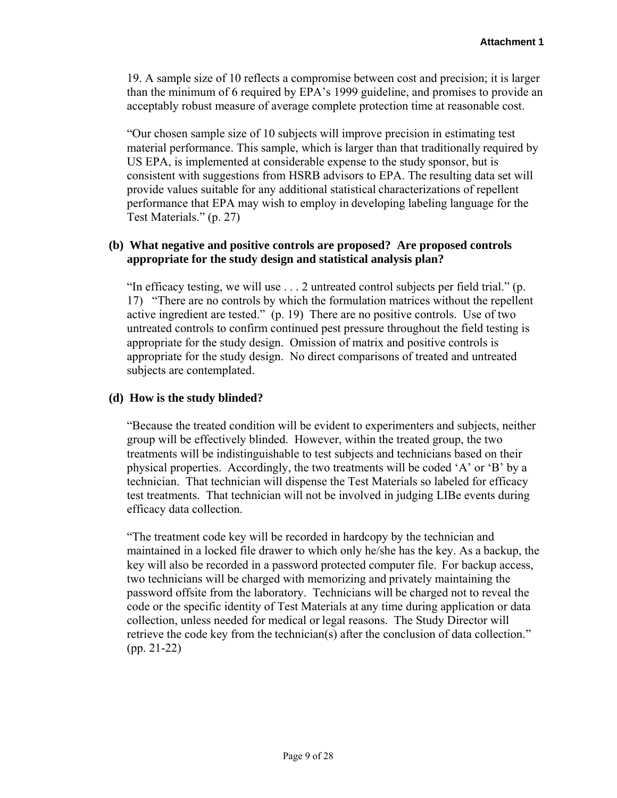19. A sample size of 10 reflects a compromise between cost and precision; it is larger than the minimum of 6 required by EPA's 1999 guideline, and promises to provide an acceptably robust measure of average complete protection time at reasonable cost.

"Our chosen sample size of 10 subjects will improve precision in estimating test material performance. This sample, which is larger than that traditionally required by US EPA, is implemented at considerable expense to the study sponsor, but is consistent with suggestions from HSRB advisors to EPA. The resulting data set will provide values suitable for any additional statistical characterizations of repellent performance that EPA may wish to employ in developing labeling language for the Test Materials." (p. 27)

# **(b) What negative and positive controls are proposed? Are proposed controls appropriate for the study design and statistical analysis plan?**

"In efficacy testing, we will use . . . 2 untreated control subjects per field trial." (p. 17) "There are no controls by which the formulation matrices without the repellent active ingredient are tested." (p. 19) There are no positive controls. Use of two untreated controls to confirm continued pest pressure throughout the field testing is appropriate for the study design. Omission of matrix and positive controls is appropriate for the study design. No direct comparisons of treated and untreated subjects are contemplated.

# **(d) How is the study blinded?**

"Because the treated condition will be evident to experimenters and subjects, neither group will be effectively blinded. However, within the treated group, the two treatments will be indistinguishable to test subjects and technicians based on their physical properties. Accordingly, the two treatments will be coded 'A' or 'B' by a technician. That technician will dispense the Test Materials so labeled for efficacy test treatments. That technician will not be involved in judging LIBe events during efficacy data collection.

"The treatment code key will be recorded in hardcopy by the technician and maintained in a locked file drawer to which only he/she has the key. As a backup, the key will also be recorded in a password protected computer file. For backup access, two technicians will be charged with memorizing and privately maintaining the password offsite from the laboratory. Technicians will be charged not to reveal the code or the specific identity of Test Materials at any time during application or data collection, unless needed for medical or legal reasons. The Study Director will retrieve the code key from the technician(s) after the conclusion of data collection." (pp. 21-22)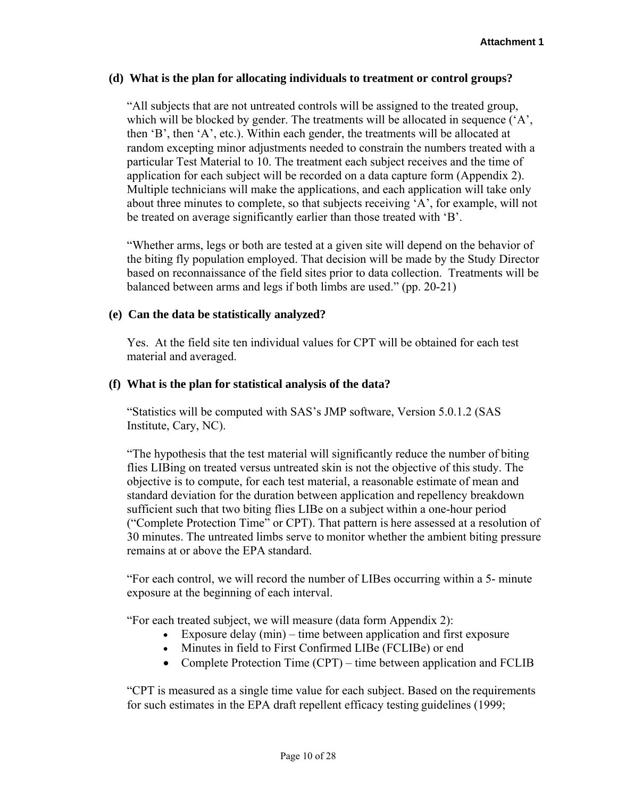### **(d) What is the plan for allocating individuals to treatment or control groups?**

"All subjects that are not untreated controls will be assigned to the treated group, which will be blocked by gender. The treatments will be allocated in sequence ('A', then 'B', then 'A', etc.). Within each gender, the treatments will be allocated at random excepting minor adjustments needed to constrain the numbers treated with a particular Test Material to 10. The treatment each subject receives and the time of application for each subject will be recorded on a data capture form (Appendix 2). Multiple technicians will make the applications, and each application will take only about three minutes to complete, so that subjects receiving 'A', for example, will not be treated on average significantly earlier than those treated with 'B'.

"Whether arms, legs or both are tested at a given site will depend on the behavior of the biting fly population employed. That decision will be made by the Study Director based on reconnaissance of the field sites prior to data collection. Treatments will be balanced between arms and legs if both limbs are used." (pp. 20-21)

## **(e) Can the data be statistically analyzed?**

Yes. At the field site ten individual values for CPT will be obtained for each test material and averaged.

## **(f) What is the plan for statistical analysis of the data?**

"Statistics will be computed with SAS's JMP software, Version 5.0.1.2 (SAS Institute, Cary, NC).

"The hypothesis that the test material will significantly reduce the number of biting flies LIBing on treated versus untreated skin is not the objective of this study. The objective is to compute, for each test material, a reasonable estimate of mean and standard deviation for the duration between application and repellency breakdown sufficient such that two biting flies LIBe on a subject within a one-hour period ("Complete Protection Time" or CPT). That pattern is here assessed at a resolution of 30 minutes. The untreated limbs serve to monitor whether the ambient biting pressure remains at or above the EPA standard.

"For each control, we will record the number of LIBes occurring within a 5- minute exposure at the beginning of each interval.

"For each treated subject, we will measure (data form Appendix 2):

- Exposure delay  $(min)$  time between application and first exposure
- Minutes in field to First Confirmed LIBe (FCLIBe) or end
- Complete Protection Time (CPT) time between application and FCLIB

"CPT is measured as a single time value for each subject. Based on the requirements for such estimates in the EPA draft repellent efficacy testing guidelines (1999;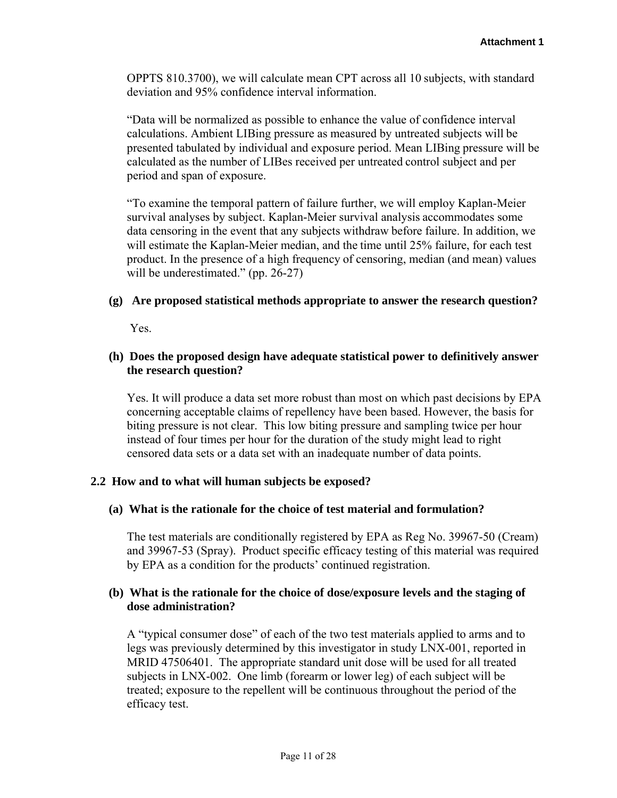OPPTS 810.3700), we will calculate mean CPT across all 10 subjects, with standard deviation and 95% confidence interval information.

"Data will be normalized as possible to enhance the value of confidence interval calculations. Ambient LIBing pressure as measured by untreated subjects will be presented tabulated by individual and exposure period. Mean LIBing pressure will be calculated as the number of LIBes received per untreated control subject and per period and span of exposure.

"To examine the temporal pattern of failure further, we will employ Kaplan-Meier survival analyses by subject. Kaplan-Meier survival analysis accommodates some data censoring in the event that any subjects withdraw before failure. In addition, we will estimate the Kaplan-Meier median, and the time until 25% failure, for each test product. In the presence of a high frequency of censoring, median (and mean) values will be underestimated." (pp. 26-27)

### **(g) Are proposed statistical methods appropriate to answer the research question?**

Yes.

## **(h) Does the proposed design have adequate statistical power to definitively answer the research question?**

Yes. It will produce a data set more robust than most on which past decisions by EPA concerning acceptable claims of repellency have been based. However, the basis for biting pressure is not clear. This low biting pressure and sampling twice per hour instead of four times per hour for the duration of the study might lead to right censored data sets or a data set with an inadequate number of data points.

## **2.2 How and to what will human subjects be exposed?**

## **(a) What is the rationale for the choice of test material and formulation?**

The test materials are conditionally registered by EPA as Reg No. 39967-50 (Cream) and 39967-53 (Spray). Product specific efficacy testing of this material was required by EPA as a condition for the products' continued registration.

## **(b) What is the rationale for the choice of dose/exposure levels and the staging of dose administration?**

A "typical consumer dose" of each of the two test materials applied to arms and to legs was previously determined by this investigator in study LNX-001, reported in MRID 47506401. The appropriate standard unit dose will be used for all treated subjects in LNX-002. One limb (forearm or lower leg) of each subject will be treated; exposure to the repellent will be continuous throughout the period of the efficacy test.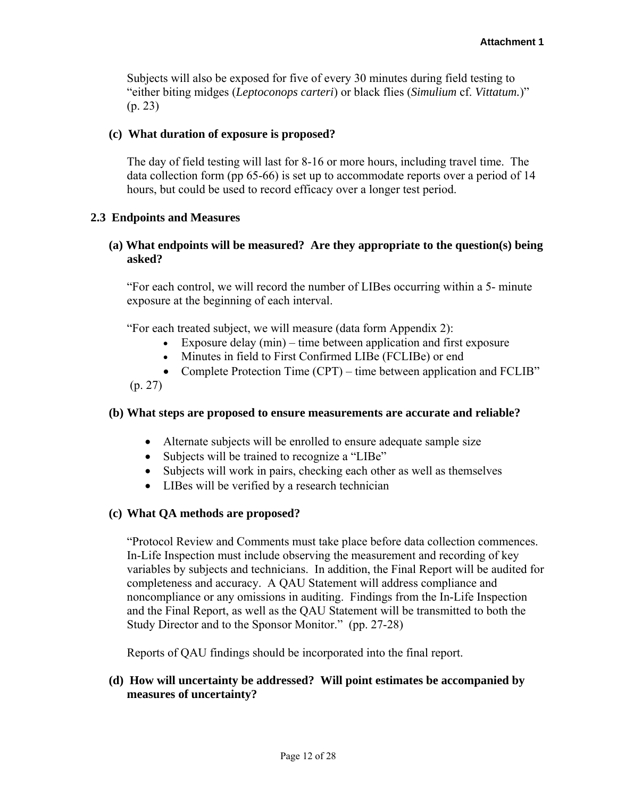Subjects will also be exposed for five of every 30 minutes during field testing to "either biting midges (*Leptoconops carteri*) or black flies (*Simulium* cf. *Vittatum.*)" (p. 23)

### **(c) What duration of exposure is proposed?**

The day of field testing will last for 8-16 or more hours, including travel time. The data collection form (pp 65-66) is set up to accommodate reports over a period of 14 hours, but could be used to record efficacy over a longer test period.

### **2.3 Endpoints and Measures**

## **(a) What endpoints will be measured? Are they appropriate to the question(s) being asked?**

"For each control, we will record the number of LIBes occurring within a 5- minute exposure at the beginning of each interval.

"For each treated subject, we will measure (data form Appendix 2):

- Exposure delay  $(min)$  time between application and first exposure
- Minutes in field to First Confirmed LIBe (FCLIBe) or end
- Complete Protection Time (CPT) time between application and FCLIB"

(p. 27)

## **(b) What steps are proposed to ensure measurements are accurate and reliable?**

- Alternate subjects will be enrolled to ensure adequate sample size
- Subjects will be trained to recognize a "LIBe"
- Subjects will work in pairs, checking each other as well as themselves
- LIBes will be verified by a research technician

## **(c) What QA methods are proposed?**

"Protocol Review and Comments must take place before data collection commences. In-Life Inspection must include observing the measurement and recording of key variables by subjects and technicians. In addition, the Final Report will be audited for completeness and accuracy. A QAU Statement will address compliance and noncompliance or any omissions in auditing. Findings from the In-Life Inspection and the Final Report, as well as the QAU Statement will be transmitted to both the Study Director and to the Sponsor Monitor." (pp. 27-28)

Reports of QAU findings should be incorporated into the final report.

## **(d) How will uncertainty be addressed? Will point estimates be accompanied by measures of uncertainty?**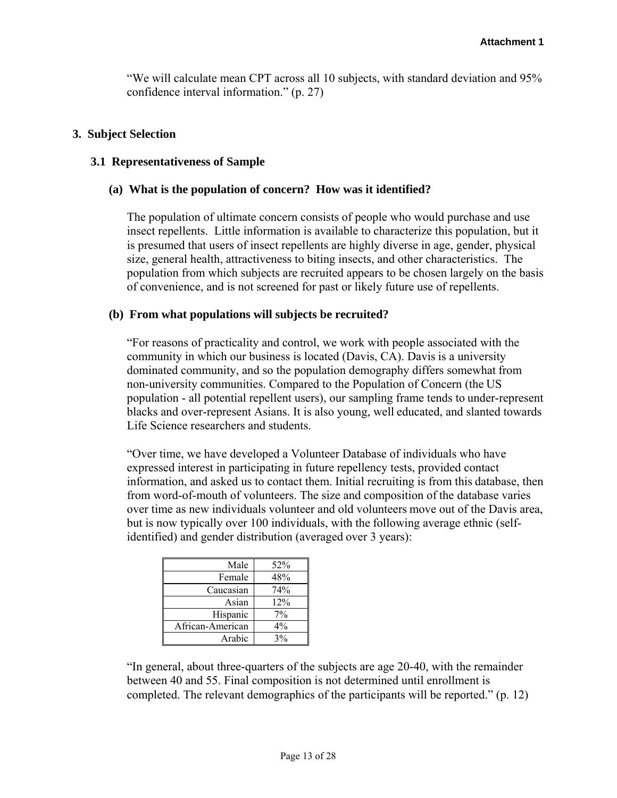"We will calculate mean CPT across all 10 subjects, with standard deviation and 95% confidence interval information." (p. 27)

### **3. Subject Selection**

### **3.1 Representativeness of Sample**

## **(a) What is the population of concern? How was it identified?**

The population of ultimate concern consists of people who would purchase and use insect repellents. Little information is available to characterize this population, but it is presumed that users of insect repellents are highly diverse in age, gender, physical size, general health, attractiveness to biting insects, and other characteristics. The population from which subjects are recruited appears to be chosen largely on the basis of convenience, and is not screened for past or likely future use of repellents.

### **(b) From what populations will subjects be recruited?**

"For reasons of practicality and control, we work with people associated with the community in which our business is located (Davis, CA). Davis is a university dominated community, and so the population demography differs somewhat from non-university communities. Compared to the Population of Concern (the US population - all potential repellent users), our sampling frame tends to under-represent blacks and over-represent Asians. It is also young, well educated, and slanted towards Life Science researchers and students.

"Over time, we have developed a Volunteer Database of individuals who have expressed interest in participating in future repellency tests, provided contact information, and asked us to contact them. Initial recruiting is from this database, then from word-of-mouth of volunteers. The size and composition of the database varies over time as new individuals volunteer and old volunteers move out of the Davis area, but is now typically over 100 individuals, with the following average ethnic (selfidentified) and gender distribution (averaged over 3 years):

| Male             | 52%   |
|------------------|-------|
| Female           | 48%   |
| Caucasian        | 74%   |
| Asian            | 12%   |
| Hispanic         | 7%    |
| African-American | $4\%$ |
| Arabic           | 3%    |

"In general, about three-quarters of the subjects are age 20-40, with the remainder between 40 and 55. Final composition is not determined until enrollment is completed. The relevant demographics of the participants will be reported." (p. 12)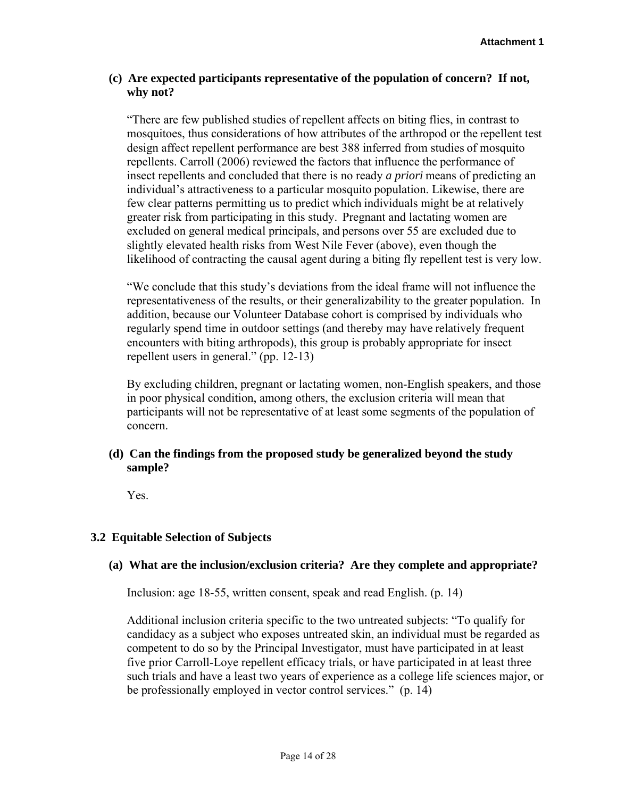## **(c) Are expected participants representative of the population of concern? If not, why not?**

"There are few published studies of repellent affects on biting flies, in contrast to mosquitoes, thus considerations of how attributes of the arthropod or the repellent test design affect repellent performance are best 388 inferred from studies of mosquito repellents. Carroll (2006) reviewed the factors that influence the performance of insect repellents and concluded that there is no ready *a priori* means of predicting an individual's attractiveness to a particular mosquito population. Likewise, there are few clear patterns permitting us to predict which individuals might be at relatively greater risk from participating in this study. Pregnant and lactating women are excluded on general medical principals, and persons over 55 are excluded due to slightly elevated health risks from West Nile Fever (above), even though the likelihood of contracting the causal agent during a biting fly repellent test is very low.

"We conclude that this study's deviations from the ideal frame will not influence the representativeness of the results, or their generalizability to the greater population. In addition, because our Volunteer Database cohort is comprised by individuals who regularly spend time in outdoor settings (and thereby may have relatively frequent encounters with biting arthropods), this group is probably appropriate for insect repellent users in general." (pp. 12-13)

By excluding children, pregnant or lactating women, non-English speakers, and those in poor physical condition, among others, the exclusion criteria will mean that participants will not be representative of at least some segments of the population of concern.

# **(d) Can the findings from the proposed study be generalized beyond the study sample?**

Yes.

# **3.2 Equitable Selection of Subjects**

## **(a) What are the inclusion/exclusion criteria? Are they complete and appropriate?**

Inclusion: age 18-55, written consent, speak and read English. (p. 14)

Additional inclusion criteria specific to the two untreated subjects: "To qualify for candidacy as a subject who exposes untreated skin, an individual must be regarded as competent to do so by the Principal Investigator, must have participated in at least five prior Carroll-Loye repellent efficacy trials, or have participated in at least three such trials and have a least two years of experience as a college life sciences major, or be professionally employed in vector control services." (p. 14)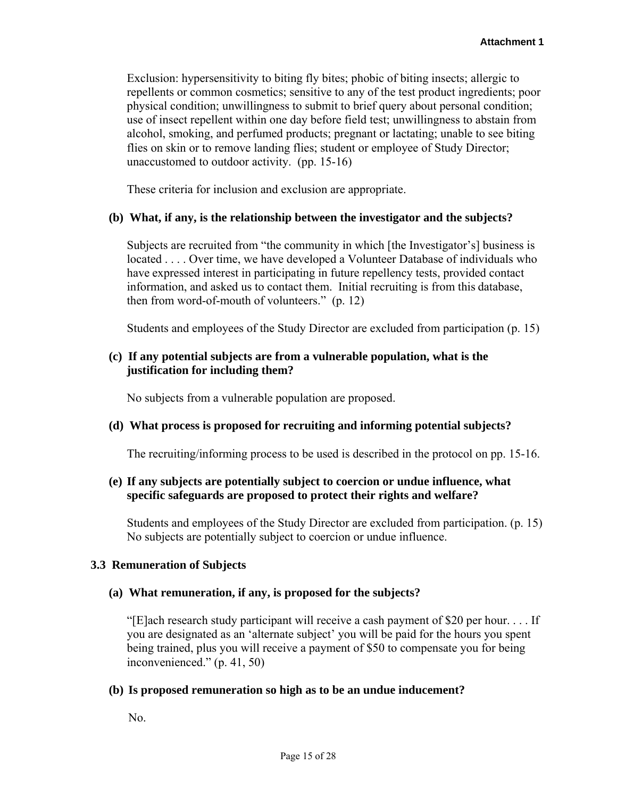Exclusion: hypersensitivity to biting fly bites; phobic of biting insects; allergic to repellents or common cosmetics; sensitive to any of the test product ingredients; poor physical condition; unwillingness to submit to brief query about personal condition; use of insect repellent within one day before field test; unwillingness to abstain from alcohol, smoking, and perfumed products; pregnant or lactating; unable to see biting flies on skin or to remove landing flies; student or employee of Study Director; unaccustomed to outdoor activity. (pp. 15-16)

These criteria for inclusion and exclusion are appropriate.

### **(b) What, if any, is the relationship between the investigator and the subjects?**

Subjects are recruited from "the community in which [the Investigator's] business is located . . . . Over time, we have developed a Volunteer Database of individuals who have expressed interest in participating in future repellency tests, provided contact information, and asked us to contact them. Initial recruiting is from this database, then from word-of-mouth of volunteers." (p. 12)

Students and employees of the Study Director are excluded from participation (p. 15)

## **(c) If any potential subjects are from a vulnerable population, what is the justification for including them?**

No subjects from a vulnerable population are proposed.

## **(d) What process is proposed for recruiting and informing potential subjects?**

The recruiting/informing process to be used is described in the protocol on pp. 15-16.

# **(e) If any subjects are potentially subject to coercion or undue influence, what specific safeguards are proposed to protect their rights and welfare?**

Students and employees of the Study Director are excluded from participation. (p. 15) No subjects are potentially subject to coercion or undue influence.

#### **3.3 Remuneration of Subjects**

#### **(a) What remuneration, if any, is proposed for the subjects?**

"[E]ach research study participant will receive a cash payment of \$20 per hour. . . . If you are designated as an 'alternate subject' you will be paid for the hours you spent being trained, plus you will receive a payment of \$50 to compensate you for being inconvenienced." (p. 41, 50)

#### **(b) Is proposed remuneration so high as to be an undue inducement?**

No.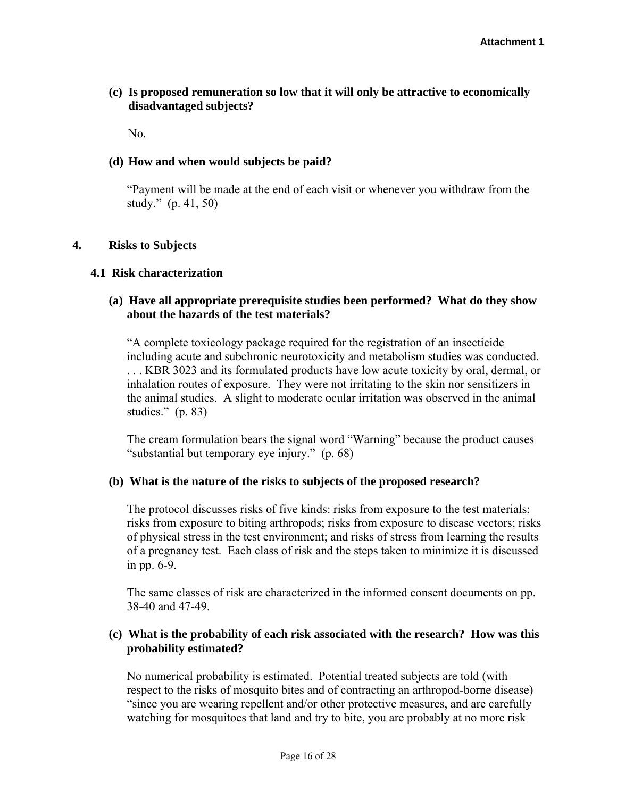# **(c) Is proposed remuneration so low that it will only be attractive to economically disadvantaged subjects?**

No.

## **(d) How and when would subjects be paid?**

"Payment will be made at the end of each visit or whenever you withdraw from the study." (p. 41, 50)

### **4. Risks to Subjects**

### **4.1 Risk characterization**

# **(a) Have all appropriate prerequisite studies been performed? What do they show about the hazards of the test materials?**

"A complete toxicology package required for the registration of an insecticide including acute and subchronic neurotoxicity and metabolism studies was conducted. . . . KBR 3023 and its formulated products have low acute toxicity by oral, dermal, or inhalation routes of exposure. They were not irritating to the skin nor sensitizers in the animal studies. A slight to moderate ocular irritation was observed in the animal studies." (p. 83)

The cream formulation bears the signal word "Warning" because the product causes "substantial but temporary eye injury." (p. 68)

## **(b) What is the nature of the risks to subjects of the proposed research?**

The protocol discusses risks of five kinds: risks from exposure to the test materials; risks from exposure to biting arthropods; risks from exposure to disease vectors; risks of physical stress in the test environment; and risks of stress from learning the results of a pregnancy test. Each class of risk and the steps taken to minimize it is discussed in pp. 6-9.

The same classes of risk are characterized in the informed consent documents on pp. 38-40 and 47-49.

## **(c) What is the probability of each risk associated with the research? How was this probability estimated?**

No numerical probability is estimated. Potential treated subjects are told (with respect to the risks of mosquito bites and of contracting an arthropod-borne disease) "since you are wearing repellent and/or other protective measures, and are carefully watching for mosquitoes that land and try to bite, you are probably at no more risk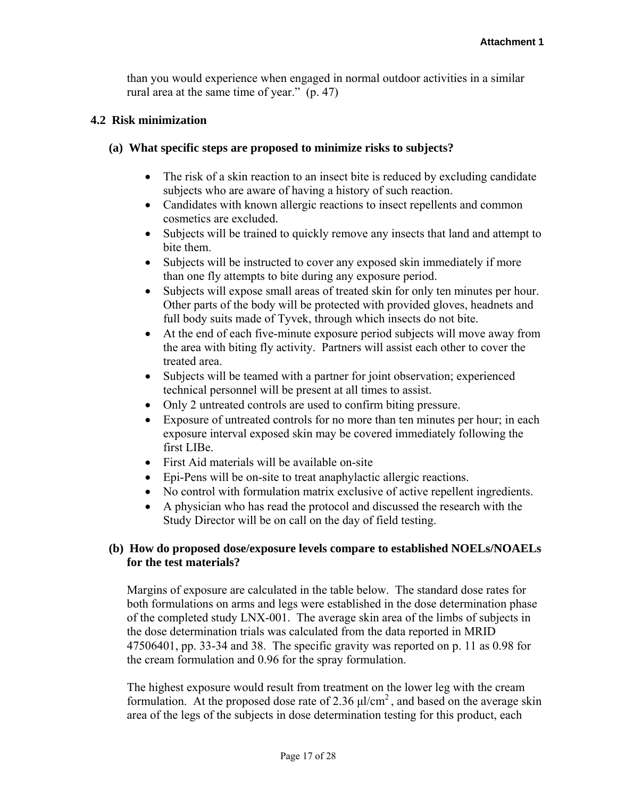than you would experience when engaged in normal outdoor activities in a similar rural area at the same time of year." (p. 47)

### **4.2 Risk minimization**

### **(a) What specific steps are proposed to minimize risks to subjects?**

- The risk of a skin reaction to an insect bite is reduced by excluding candidate subjects who are aware of having a history of such reaction.
- Candidates with known allergic reactions to insect repellents and common cosmetics are excluded.
- Subjects will be trained to quickly remove any insects that land and attempt to bite them.
- Subjects will be instructed to cover any exposed skin immediately if more than one fly attempts to bite during any exposure period.
- Subjects will expose small areas of treated skin for only ten minutes per hour. Other parts of the body will be protected with provided gloves, headnets and full body suits made of Tyvek, through which insects do not bite.
- At the end of each five-minute exposure period subjects will move away from the area with biting fly activity. Partners will assist each other to cover the treated area.
- Subjects will be teamed with a partner for joint observation; experienced technical personnel will be present at all times to assist.
- Only 2 untreated controls are used to confirm biting pressure.
- Exposure of untreated controls for no more than ten minutes per hour; in each exposure interval exposed skin may be covered immediately following the first LIBe.
- First Aid materials will be available on-site
- Epi-Pens will be on-site to treat anaphylactic allergic reactions.
- No control with formulation matrix exclusive of active repellent ingredients.
- A physician who has read the protocol and discussed the research with the Study Director will be on call on the day of field testing.

# **(b) How do proposed dose/exposure levels compare to established NOELs/NOAELs for the test materials?**

Margins of exposure are calculated in the table below. The standard dose rates for both formulations on arms and legs were established in the dose determination phase of the completed study LNX-001. The average skin area of the limbs of subjects in the dose determination trials was calculated from the data reported in MRID 47506401, pp. 33-34 and 38. The specific gravity was reported on p. 11 as 0.98 for the cream formulation and 0.96 for the spray formulation.

The highest exposure would result from treatment on the lower leg with the cream formulation. At the proposed dose rate of 2.36  $\mu$ l/cm<sup>2</sup>, and based on the average skin area of the legs of the subjects in dose determination testing for this product, each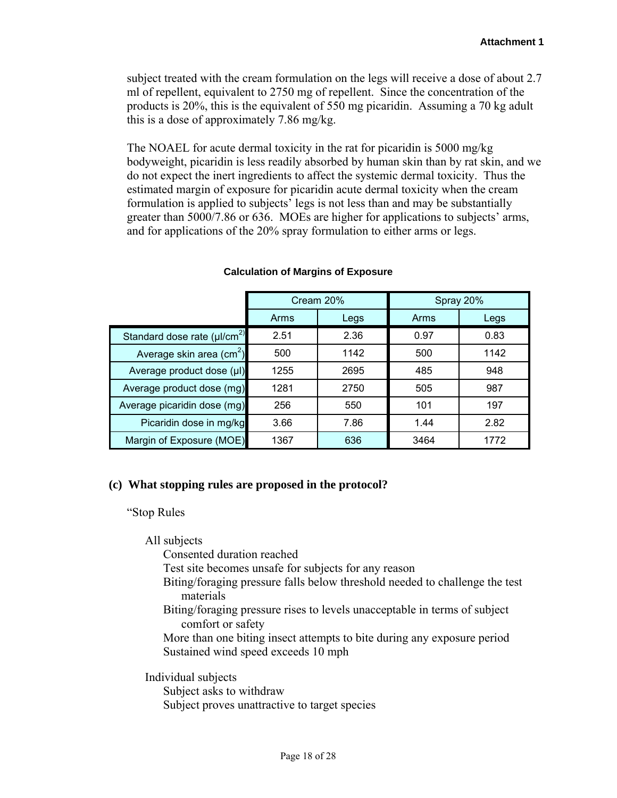subject treated with the cream formulation on the legs will receive a dose of about 2.7 ml of repellent, equivalent to 2750 mg of repellent. Since the concentration of the products is 20%, this is the equivalent of 550 mg picaridin. Assuming a 70 kg adult this is a dose of approximately 7.86 mg/kg.

The NOAEL for acute dermal toxicity in the rat for picaridin is 5000 mg/kg bodyweight, picaridin is less readily absorbed by human skin than by rat skin, and we do not expect the inert ingredients to affect the systemic dermal toxicity. Thus the estimated margin of exposure for picaridin acute dermal toxicity when the cream formulation is applied to subjects' legs is not less than and may be substantially greater than 5000/7.86 or 636. MOEs are higher for applications to subjects' arms, and for applications of the 20% spray formulation to either arms or legs.

|                                             | Cream 20%    |      | Spray 20% |      |  |
|---------------------------------------------|--------------|------|-----------|------|--|
|                                             | Arms         | Legs | Arms      | Legs |  |
| Standard dose rate $(\mu$ /cm <sup>2)</sup> | 2.51         | 2.36 | 0.97      | 0.83 |  |
| Average skin area (cm <sup>2</sup> )        | 500          | 1142 | 500       | 1142 |  |
| Average product dose (µl)                   | 1255         | 2695 | 485       | 948  |  |
| Average product dose (mg)                   | 1281         | 2750 | 505       | 987  |  |
| Average picaridin dose (mg)                 | 256          | 550  | 101       | 197  |  |
| Picaridin dose in mg/kg                     | 3.66<br>7.86 |      | 1.44      | 2.82 |  |
| Margin of Exposure (MOE)                    | 1367         | 636  | 3464      | 1772 |  |

#### **Calculation of Margins of Exposure**

## **(c) What stopping rules are proposed in the protocol?**

"Stop Rules

All subjects

Consented duration reached

Test site becomes unsafe for subjects for any reason

- Biting/foraging pressure falls below threshold needed to challenge the test materials
- Biting/foraging pressure rises to levels unacceptable in terms of subject comfort or safety
- More than one biting insect attempts to bite during any exposure period Sustained wind speed exceeds 10 mph

Individual subjects

Subject asks to withdraw

Subject proves unattractive to target species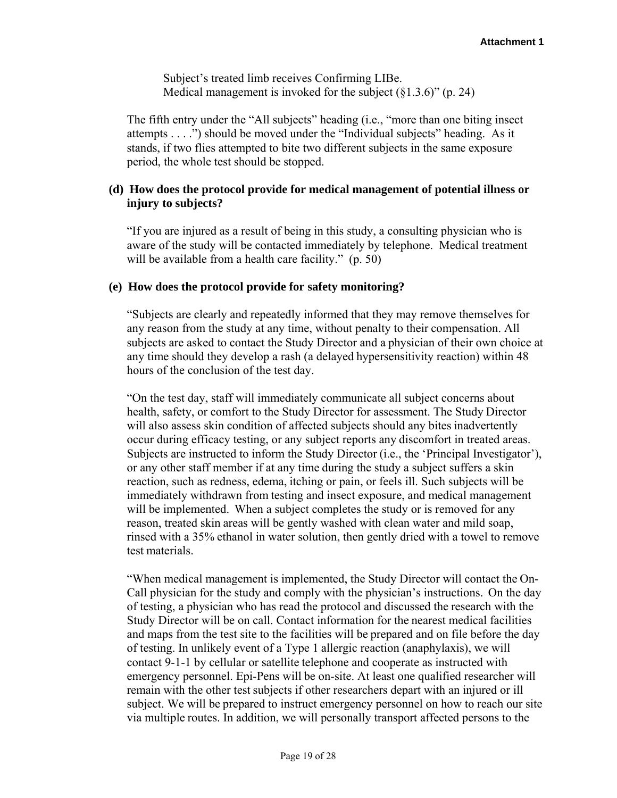Subject's treated limb receives Confirming LIBe. Medical management is invoked for the subject  $(\S1.3.6)$ " (p. 24)

The fifth entry under the "All subjects" heading (i.e., "more than one biting insect attempts . . . .") should be moved under the "Individual subjects" heading. As it stands, if two flies attempted to bite two different subjects in the same exposure period, the whole test should be stopped.

## **(d) How does the protocol provide for medical management of potential illness or injury to subjects?**

"If you are injured as a result of being in this study, a consulting physician who is aware of the study will be contacted immediately by telephone. Medical treatment will be available from a health care facility." (p. 50)

### **(e) How does the protocol provide for safety monitoring?**

"Subjects are clearly and repeatedly informed that they may remove themselves for any reason from the study at any time, without penalty to their compensation. All subjects are asked to contact the Study Director and a physician of their own choice at any time should they develop a rash (a delayed hypersensitivity reaction) within 48 hours of the conclusion of the test day.

"On the test day, staff will immediately communicate all subject concerns about health, safety, or comfort to the Study Director for assessment. The Study Director will also assess skin condition of affected subjects should any bites inadvertently occur during efficacy testing, or any subject reports any discomfort in treated areas. Subjects are instructed to inform the Study Director (i.e., the 'Principal Investigator'), or any other staff member if at any time during the study a subject suffers a skin reaction, such as redness, edema, itching or pain, or feels ill. Such subjects will be immediately withdrawn from testing and insect exposure, and medical management will be implemented. When a subject completes the study or is removed for any reason, treated skin areas will be gently washed with clean water and mild soap, rinsed with a 35% ethanol in water solution, then gently dried with a towel to remove test materials.

"When medical management is implemented, the Study Director will contact the On-Call physician for the study and comply with the physician's instructions. On the day of testing, a physician who has read the protocol and discussed the research with the Study Director will be on call. Contact information for the nearest medical facilities and maps from the test site to the facilities will be prepared and on file before the day of testing. In unlikely event of a Type 1 allergic reaction (anaphylaxis), we will contact 9-1-1 by cellular or satellite telephone and cooperate as instructed with emergency personnel. Epi-Pens will be on-site. At least one qualified researcher will remain with the other test subjects if other researchers depart with an injured or ill subject. We will be prepared to instruct emergency personnel on how to reach our site via multiple routes. In addition, we will personally transport affected persons to the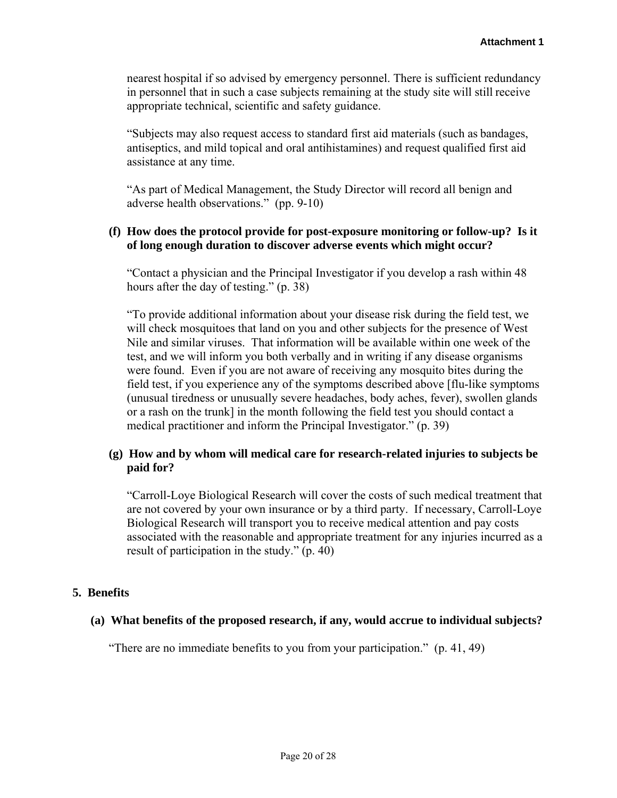nearest hospital if so advised by emergency personnel. There is sufficient redundancy in personnel that in such a case subjects remaining at the study site will still receive appropriate technical, scientific and safety guidance.

"Subjects may also request access to standard first aid materials (such as bandages, antiseptics, and mild topical and oral antihistamines) and request qualified first aid assistance at any time.

"As part of Medical Management, the Study Director will record all benign and adverse health observations." (pp. 9-10)

## **(f) How does the protocol provide for post-exposure monitoring or follow-up? Is it of long enough duration to discover adverse events which might occur?**

"Contact a physician and the Principal Investigator if you develop a rash within 48 hours after the day of testing." (p. 38)

"To provide additional information about your disease risk during the field test, we will check mosquitoes that land on you and other subjects for the presence of West Nile and similar viruses. That information will be available within one week of the test, and we will inform you both verbally and in writing if any disease organisms were found. Even if you are not aware of receiving any mosquito bites during the field test, if you experience any of the symptoms described above [flu-like symptoms (unusual tiredness or unusually severe headaches, body aches, fever), swollen glands or a rash on the trunk] in the month following the field test you should contact a medical practitioner and inform the Principal Investigator." (p. 39)

# **(g) How and by whom will medical care for research-related injuries to subjects be paid for?**

"Carroll-Loye Biological Research will cover the costs of such medical treatment that are not covered by your own insurance or by a third party. If necessary, Carroll-Loye Biological Research will transport you to receive medical attention and pay costs associated with the reasonable and appropriate treatment for any injuries incurred as a result of participation in the study." (p. 40)

## **5. Benefits**

## **(a) What benefits of the proposed research, if any, would accrue to individual subjects?**

"There are no immediate benefits to you from your participation." (p. 41, 49)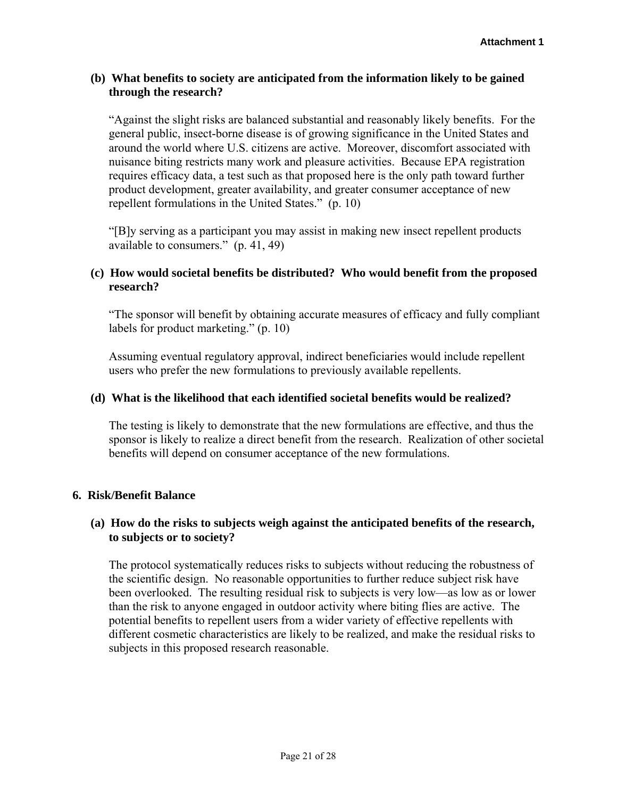## **(b) What benefits to society are anticipated from the information likely to be gained through the research?**

"Against the slight risks are balanced substantial and reasonably likely benefits. For the general public, insect-borne disease is of growing significance in the United States and around the world where U.S. citizens are active. Moreover, discomfort associated with nuisance biting restricts many work and pleasure activities. Because EPA registration requires efficacy data, a test such as that proposed here is the only path toward further product development, greater availability, and greater consumer acceptance of new repellent formulations in the United States." (p. 10)

"[B]y serving as a participant you may assist in making new insect repellent products available to consumers." (p. 41, 49)

# **(c) How would societal benefits be distributed? Who would benefit from the proposed research?**

"The sponsor will benefit by obtaining accurate measures of efficacy and fully compliant labels for product marketing." (p. 10)

Assuming eventual regulatory approval, indirect beneficiaries would include repellent users who prefer the new formulations to previously available repellents.

## **(d) What is the likelihood that each identified societal benefits would be realized?**

The testing is likely to demonstrate that the new formulations are effective, and thus the sponsor is likely to realize a direct benefit from the research. Realization of other societal benefits will depend on consumer acceptance of the new formulations.

## **6. Risk/Benefit Balance**

# **(a) How do the risks to subjects weigh against the anticipated benefits of the research, to subjects or to society?**

The protocol systematically reduces risks to subjects without reducing the robustness of the scientific design. No reasonable opportunities to further reduce subject risk have been overlooked. The resulting residual risk to subjects is very low—as low as or lower than the risk to anyone engaged in outdoor activity where biting flies are active. The potential benefits to repellent users from a wider variety of effective repellents with different cosmetic characteristics are likely to be realized, and make the residual risks to subjects in this proposed research reasonable.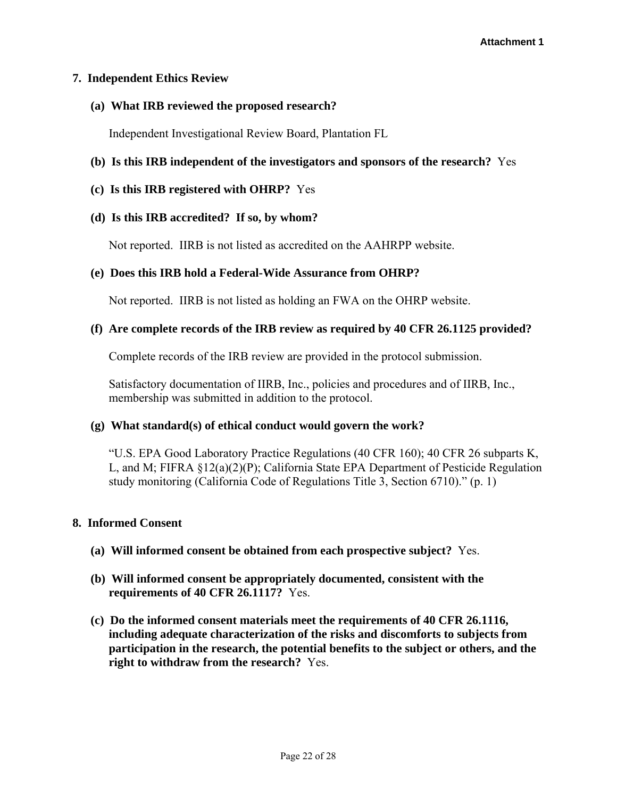## **7. Independent Ethics Review**

## **(a) What IRB reviewed the proposed research?**

Independent Investigational Review Board, Plantation FL

# **(b) Is this IRB independent of the investigators and sponsors of the research?** Yes

## **(c) Is this IRB registered with OHRP?** Yes

## **(d) Is this IRB accredited? If so, by whom?**

Not reported. IIRB is not listed as accredited on the AAHRPP website.

## **(e) Does this IRB hold a Federal-Wide Assurance from OHRP?**

Not reported. IIRB is not listed as holding an FWA on the OHRP website.

## **(f) Are complete records of the IRB review as required by 40 CFR 26.1125 provided?**

Complete records of the IRB review are provided in the protocol submission.

Satisfactory documentation of IIRB, Inc., policies and procedures and of IIRB, Inc., membership was submitted in addition to the protocol.

## **(g) What standard(s) of ethical conduct would govern the work?**

"U.S. EPA Good Laboratory Practice Regulations (40 CFR 160); 40 CFR 26 subparts K, L, and M; FIFRA §12(a)(2)(P); California State EPA Department of Pesticide Regulation study monitoring (California Code of Regulations Title 3, Section 6710)." (p. 1)

## **8. Informed Consent**

- **(a) Will informed consent be obtained from each prospective subject?** Yes.
- **(b) Will informed consent be appropriately documented, consistent with the requirements of 40 CFR 26.1117?** Yes.
- **(c) Do the informed consent materials meet the requirements of 40 CFR 26.1116, including adequate characterization of the risks and discomforts to subjects from participation in the research, the potential benefits to the subject or others, and the right to withdraw from the research?** Yes.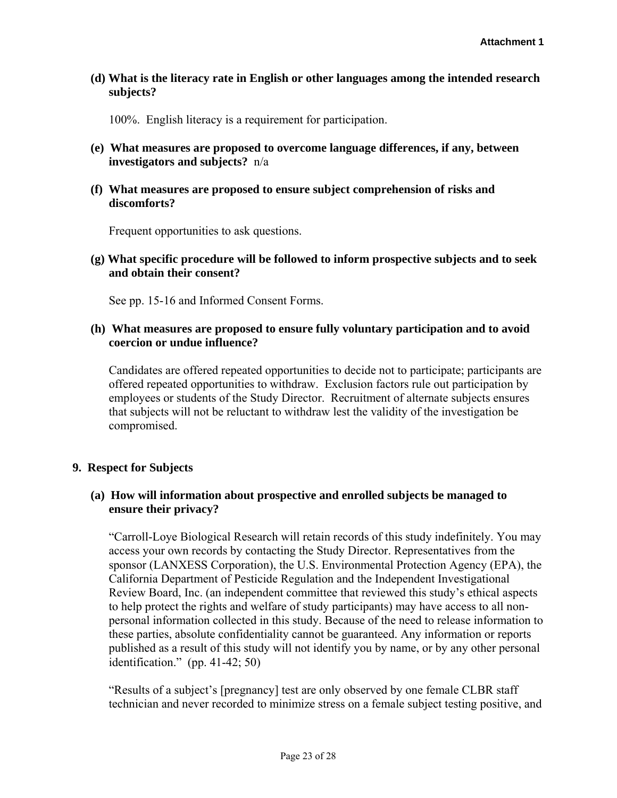**(d) What is the literacy rate in English or other languages among the intended research subjects?**

100%. English literacy is a requirement for participation.

- **(e) What measures are proposed to overcome language differences, if any, between investigators and subjects?** n/a
- **(f) What measures are proposed to ensure subject comprehension of risks and discomforts?**

Frequent opportunities to ask questions.

**(g) What specific procedure will be followed to inform prospective subjects and to seek and obtain their consent?**

See pp. 15-16 and Informed Consent Forms.

## **(h) What measures are proposed to ensure fully voluntary participation and to avoid coercion or undue influence?**

Candidates are offered repeated opportunities to decide not to participate; participants are offered repeated opportunities to withdraw. Exclusion factors rule out participation by employees or students of the Study Director. Recruitment of alternate subjects ensures that subjects will not be reluctant to withdraw lest the validity of the investigation be compromised.

# **9. Respect for Subjects**

# **(a) How will information about prospective and enrolled subjects be managed to ensure their privacy?**

"Carroll-Loye Biological Research will retain records of this study indefinitely. You may access your own records by contacting the Study Director. Representatives from the sponsor (LANXESS Corporation), the U.S. Environmental Protection Agency (EPA), the California Department of Pesticide Regulation and the Independent Investigational Review Board, Inc. (an independent committee that reviewed this study's ethical aspects to help protect the rights and welfare of study participants) may have access to all nonpersonal information collected in this study. Because of the need to release information to these parties, absolute confidentiality cannot be guaranteed. Any information or reports published as a result of this study will not identify you by name, or by any other personal identification." (pp. 41-42; 50)

"Results of a subject's [pregnancy] test are only observed by one female CLBR staff technician and never recorded to minimize stress on a female subject testing positive, and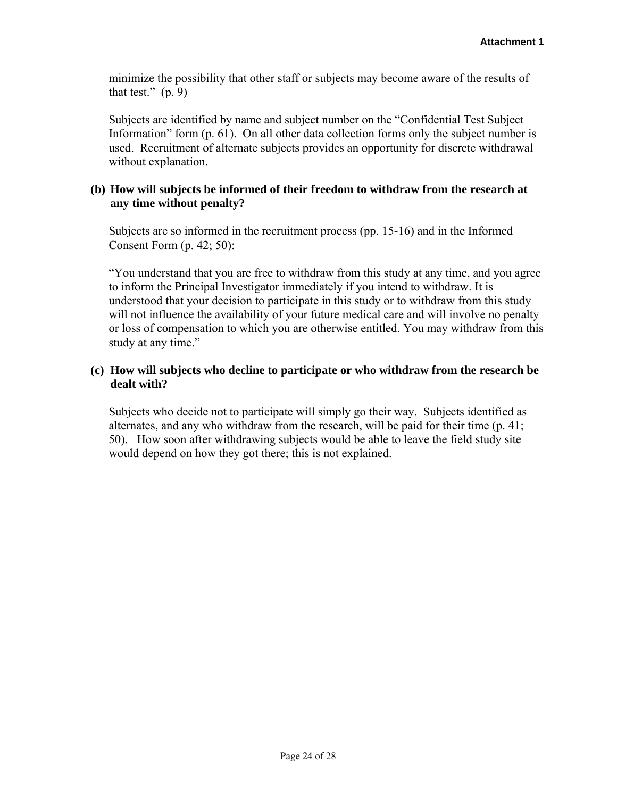minimize the possibility that other staff or subjects may become aware of the results of that test."  $(p. 9)$ 

Subjects are identified by name and subject number on the "Confidential Test Subject Information" form (p. 61). On all other data collection forms only the subject number is used. Recruitment of alternate subjects provides an opportunity for discrete withdrawal without explanation.

# **(b) How will subjects be informed of their freedom to withdraw from the research at any time without penalty?**

Subjects are so informed in the recruitment process (pp. 15-16) and in the Informed Consent Form (p. 42; 50):

"You understand that you are free to withdraw from this study at any time, and you agree to inform the Principal Investigator immediately if you intend to withdraw. It is understood that your decision to participate in this study or to withdraw from this study will not influence the availability of your future medical care and will involve no penalty or loss of compensation to which you are otherwise entitled. You may withdraw from this study at any time."

# **(c) How will subjects who decline to participate or who withdraw from the research be dealt with?**

Subjects who decide not to participate will simply go their way. Subjects identified as alternates, and any who withdraw from the research, will be paid for their time (p. 41; 50). How soon after withdrawing subjects would be able to leave the field study site would depend on how they got there; this is not explained.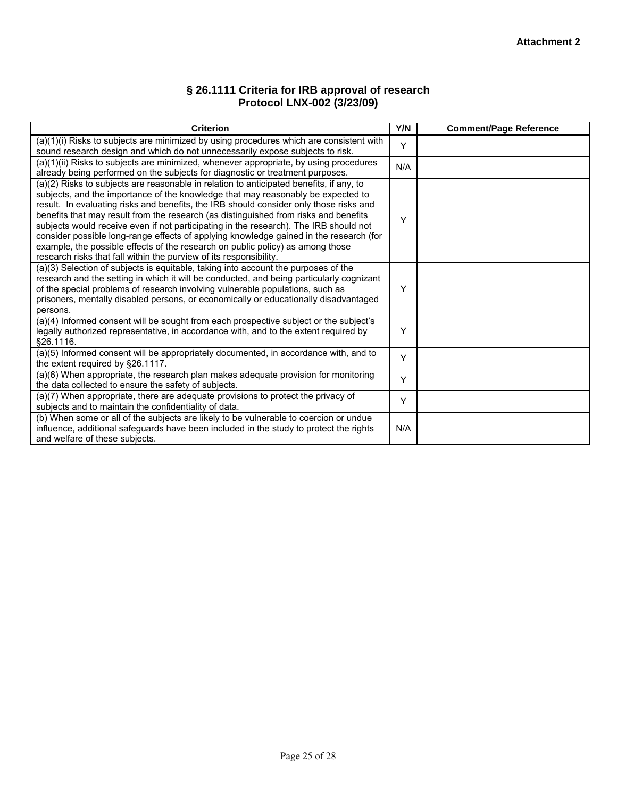### **§ 26.1111 Criteria for IRB approval of research Protocol LNX-002 (3/23/09)**

| <b>Criterion</b>                                                                                                                                                                                                                                                                                                                                                                                                                                                                                                                                                                                                                                                                                         | Y/N | <b>Comment/Page Reference</b> |
|----------------------------------------------------------------------------------------------------------------------------------------------------------------------------------------------------------------------------------------------------------------------------------------------------------------------------------------------------------------------------------------------------------------------------------------------------------------------------------------------------------------------------------------------------------------------------------------------------------------------------------------------------------------------------------------------------------|-----|-------------------------------|
| (a)(1)(i) Risks to subjects are minimized by using procedures which are consistent with<br>sound research design and which do not unnecessarily expose subjects to risk.                                                                                                                                                                                                                                                                                                                                                                                                                                                                                                                                 | Y   |                               |
| (a)(1)(ii) Risks to subjects are minimized, whenever appropriate, by using procedures<br>already being performed on the subjects for diagnostic or treatment purposes.                                                                                                                                                                                                                                                                                                                                                                                                                                                                                                                                   | N/A |                               |
| (a)(2) Risks to subjects are reasonable in relation to anticipated benefits, if any, to<br>subjects, and the importance of the knowledge that may reasonably be expected to<br>result. In evaluating risks and benefits, the IRB should consider only those risks and<br>benefits that may result from the research (as distinguished from risks and benefits<br>subjects would receive even if not participating in the research). The IRB should not<br>consider possible long-range effects of applying knowledge gained in the research (for<br>example, the possible effects of the research on public policy) as among those<br>research risks that fall within the purview of its responsibility. | Υ   |                               |
| (a)(3) Selection of subjects is equitable, taking into account the purposes of the<br>research and the setting in which it will be conducted, and being particularly cognizant<br>of the special problems of research involving vulnerable populations, such as<br>prisoners, mentally disabled persons, or economically or educationally disadvantaged<br>persons.                                                                                                                                                                                                                                                                                                                                      | Υ   |                               |
| (a)(4) Informed consent will be sought from each prospective subject or the subject's<br>legally authorized representative, in accordance with, and to the extent required by<br>§26.1116.                                                                                                                                                                                                                                                                                                                                                                                                                                                                                                               | Y   |                               |
| (a)(5) Informed consent will be appropriately documented, in accordance with, and to<br>the extent required by §26.1117.                                                                                                                                                                                                                                                                                                                                                                                                                                                                                                                                                                                 | Y   |                               |
| (a)(6) When appropriate, the research plan makes adequate provision for monitoring<br>the data collected to ensure the safety of subjects.                                                                                                                                                                                                                                                                                                                                                                                                                                                                                                                                                               | Y   |                               |
| (a)(7) When appropriate, there are adequate provisions to protect the privacy of<br>subjects and to maintain the confidentiality of data.                                                                                                                                                                                                                                                                                                                                                                                                                                                                                                                                                                | Y   |                               |
| (b) When some or all of the subjects are likely to be vulnerable to coercion or undue<br>influence, additional safeguards have been included in the study to protect the rights<br>and welfare of these subjects.                                                                                                                                                                                                                                                                                                                                                                                                                                                                                        | N/A |                               |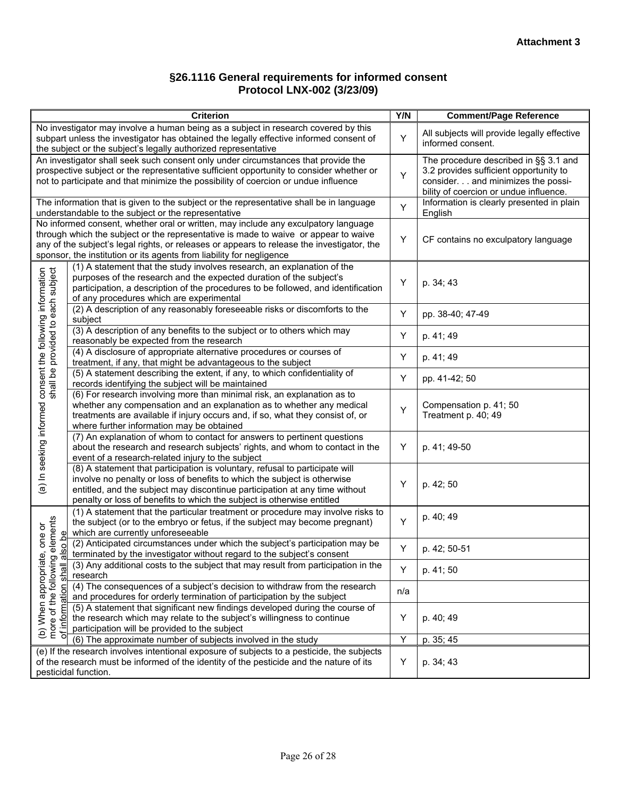### **§26.1116 General requirements for informed consent Protocol LNX-002 (3/23/09)**

| <b>Criterion</b>                                                                                                                                                                                                                                                                                                                                |     | <b>Comment/Page Reference</b>                                                                                                                                   |  |
|-------------------------------------------------------------------------------------------------------------------------------------------------------------------------------------------------------------------------------------------------------------------------------------------------------------------------------------------------|-----|-----------------------------------------------------------------------------------------------------------------------------------------------------------------|--|
| No investigator may involve a human being as a subject in research covered by this<br>subpart unless the investigator has obtained the legally effective informed consent of<br>the subject or the subject's legally authorized representative                                                                                                  |     | All subjects will provide legally effective<br>informed consent.                                                                                                |  |
| An investigator shall seek such consent only under circumstances that provide the<br>prospective subject or the representative sufficient opportunity to consider whether or<br>not to participate and that minimize the possibility of coercion or undue influence                                                                             |     | The procedure described in §§ 3.1 and<br>3.2 provides sufficient opportunity to<br>consider. and minimizes the possi-<br>bility of coercion or undue influence. |  |
| The information that is given to the subject or the representative shall be in language<br>understandable to the subject or the representative                                                                                                                                                                                                  | Y   | Information is clearly presented in plain<br>English                                                                                                            |  |
| No informed consent, whether oral or written, may include any exculpatory language<br>through which the subject or the representative is made to waive or appear to waive<br>any of the subject's legal rights, or releases or appears to release the investigator, the<br>sponsor, the institution or its agents from liability for negligence |     | CF contains no exculpatory language                                                                                                                             |  |
| (1) A statement that the study involves research, an explanation of the<br>shall be provided to each subject<br>purposes of the research and the expected duration of the subject's<br>participation, a description of the procedures to be followed, and identification<br>of any procedures which are experimental                            | Υ   | p. 34; 43                                                                                                                                                       |  |
| (2) A description of any reasonably foreseeable risks or discomforts to the<br>subject                                                                                                                                                                                                                                                          | Υ   | pp. 38-40; 47-49                                                                                                                                                |  |
| (3) A description of any benefits to the subject or to others which may<br>reasonably be expected from the research                                                                                                                                                                                                                             | Υ   | p. 41; 49                                                                                                                                                       |  |
| (4) A disclosure of appropriate alternative procedures or courses of<br>treatment, if any, that might be advantageous to the subject                                                                                                                                                                                                            | Υ   | p. 41; 49                                                                                                                                                       |  |
| (5) A statement describing the extent, if any, to which confidentiality of<br>records identifying the subject will be maintained                                                                                                                                                                                                                | Υ   | pp. 41-42; 50                                                                                                                                                   |  |
| (a) In seeking informed consent the following information<br>(6) For research involving more than minimal risk, an explanation as to<br>whether any compensation and an explanation as to whether any medical<br>treatments are available if injury occurs and, if so, what they consist of, or<br>where further information may be obtained    | Υ   | Compensation p. 41; 50<br>Treatment p. 40; 49                                                                                                                   |  |
| (7) An explanation of whom to contact for answers to pertinent questions<br>about the research and research subjects' rights, and whom to contact in the<br>event of a research-related injury to the subject                                                                                                                                   | Y   | p. 41; 49-50                                                                                                                                                    |  |
| (8) A statement that participation is voluntary, refusal to participate will<br>involve no penalty or loss of benefits to which the subject is otherwise<br>entitled, and the subject may discontinue participation at any time without<br>penalty or loss of benefits to which the subject is otherwise entitled                               | Υ   | p. 42; 50                                                                                                                                                       |  |
| (1) A statement that the particular treatment or procedure may involve risks to<br>elements<br>the subject (or to the embryo or fetus, if the subject may become pregnant)<br>which are currently unforeseeable                                                                                                                                 | Υ   | p. 40; 49                                                                                                                                                       |  |
| te, one or<br>so be<br>(2) Anticipated circumstances under which the subject's participation may be<br>terminated by the investigator without regard to the subject's consent<br>ರಾ ಸ                                                                                                                                                           | Y   | p. 42; 50-51                                                                                                                                                    |  |
| (3) Any additional costs to the subject that may result from participation in the<br>shall<br>research                                                                                                                                                                                                                                          | Y   | p. 41; 50                                                                                                                                                       |  |
| (4) The consequences of a subject's decision to withdraw from the research<br>ation<br>and procedures for orderly termination of participation by the subject                                                                                                                                                                                   | n/a |                                                                                                                                                                 |  |
| (b) When appropriat<br>more of the followin<br>(5) A statement that significant new findings developed during the course of<br>the research which may relate to the subject's willingness to continue<br>participation will be provided to the subject                                                                                          | Y   | p. 40; 49                                                                                                                                                       |  |
| (6) The approximate number of subjects involved in the study                                                                                                                                                                                                                                                                                    | Υ   | p. 35; 45                                                                                                                                                       |  |
| (e) If the research involves intentional exposure of subjects to a pesticide, the subjects<br>of the research must be informed of the identity of the pesticide and the nature of its<br>pesticidal function.                                                                                                                                   | Y   | p. 34; 43                                                                                                                                                       |  |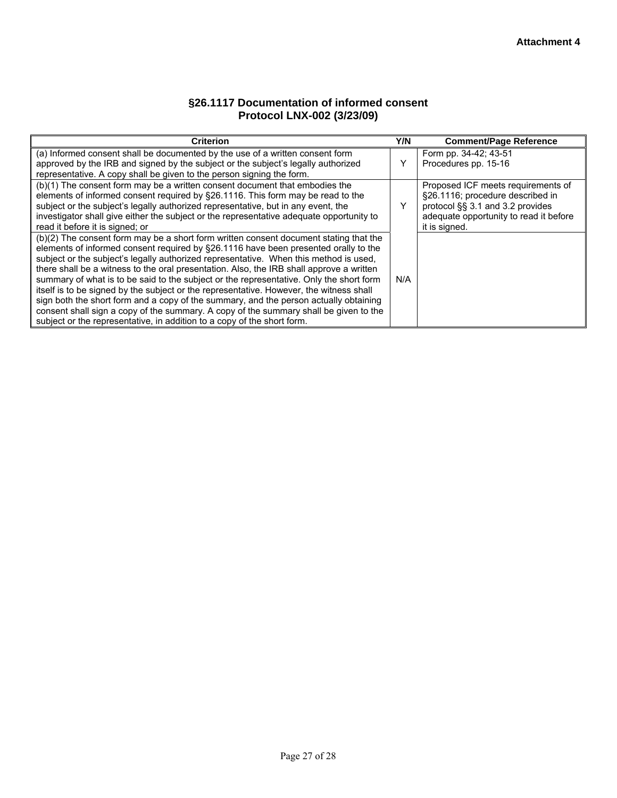## **§26.1117 Documentation of informed consent Protocol LNX-002 (3/23/09)**

| <b>Criterion</b>                                                                         | Y/N | <b>Comment/Page Reference</b>          |
|------------------------------------------------------------------------------------------|-----|----------------------------------------|
| (a) Informed consent shall be documented by the use of a written consent form            |     | Form pp. 34-42; 43-51                  |
| approved by the IRB and signed by the subject or the subject's legally authorized        | v   | Procedures pp. 15-16                   |
| representative. A copy shall be given to the person signing the form.                    |     |                                        |
| (b)(1) The consent form may be a written consent document that embodies the              |     | Proposed ICF meets requirements of     |
| elements of informed consent required by §26.1116. This form may be read to the          |     | §26.1116; procedure described in       |
| subject or the subject's legally authorized representative, but in any event, the        | v   | protocol §§ 3.1 and 3.2 provides       |
| investigator shall give either the subject or the representative adequate opportunity to |     | adequate opportunity to read it before |
| read it before it is signed; or                                                          |     | it is signed.                          |
| (b)(2) The consent form may be a short form written consent document stating that the    |     |                                        |
| elements of informed consent required by §26.1116 have been presented orally to the      |     |                                        |
| subject or the subject's legally authorized representative. When this method is used,    |     |                                        |
| there shall be a witness to the oral presentation. Also, the IRB shall approve a written |     |                                        |
| summary of what is to be said to the subject or the representative. Only the short form  | N/A |                                        |
| itself is to be signed by the subject or the representative. However, the witness shall  |     |                                        |
| sign both the short form and a copy of the summary, and the person actually obtaining    |     |                                        |
| consent shall sign a copy of the summary. A copy of the summary shall be given to the    |     |                                        |
| subject or the representative, in addition to a copy of the short form.                  |     |                                        |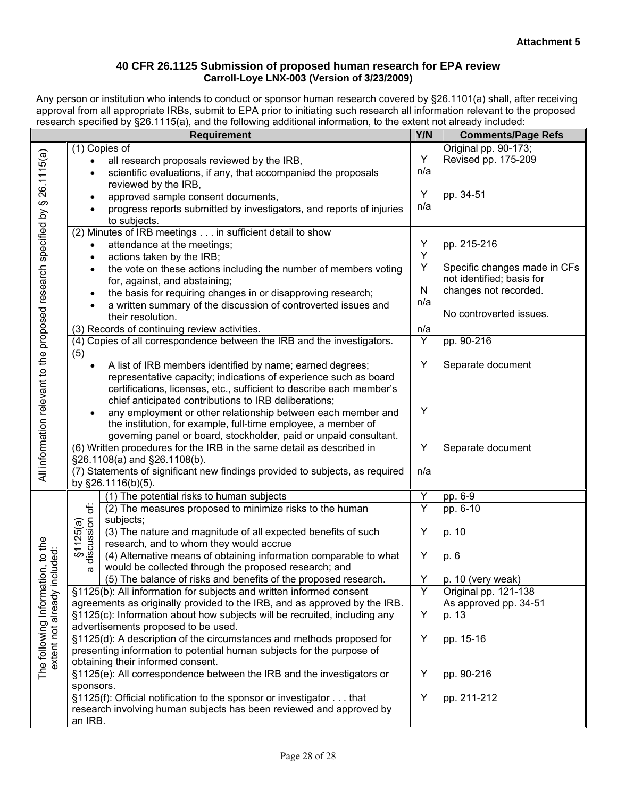#### **40 CFR 26.1125 Submission of proposed human research for EPA review Carroll-Loye LNX-003 (Version of 3/23/2009)**

Any person or institution who intends to conduct or sponsor human research covered by §26.1101(a) shall, after receiving approval from all appropriate IRBs, submit to EPA prior to initiating such research all information relevant to the proposed research specified by §26.1115(a), and the following additional information, to the extent not already included:

| <b>Requirement</b>                                                          |                                                                                                    |                                                                         | Y/N       | <b>Comments/Page Refs</b>    |
|-----------------------------------------------------------------------------|----------------------------------------------------------------------------------------------------|-------------------------------------------------------------------------|-----------|------------------------------|
|                                                                             |                                                                                                    | (1) Copies of                                                           |           | Original pp. 90-173;         |
|                                                                             | $\bullet$                                                                                          | all research proposals reviewed by the IRB,                             | Y         | Revised pp. 175-209          |
|                                                                             |                                                                                                    | scientific evaluations, if any, that accompanied the proposals          | n/a       |                              |
|                                                                             |                                                                                                    | reviewed by the IRB,                                                    |           |                              |
|                                                                             |                                                                                                    | approved sample consent documents,                                      | Y         | pp. 34-51                    |
|                                                                             |                                                                                                    | progress reports submitted by investigators, and reports of injuries    | n/a       |                              |
|                                                                             |                                                                                                    | to subjects.                                                            |           |                              |
|                                                                             |                                                                                                    | (2) Minutes of IRB meetings in sufficient detail to show                |           |                              |
|                                                                             | attendance at the meetings;                                                                        |                                                                         | Y         | pp. 215-216                  |
|                                                                             | actions taken by the IRB;<br>$\bullet$                                                             |                                                                         | Υ         |                              |
|                                                                             | the vote on these actions including the number of members voting                                   |                                                                         | Υ         | Specific changes made in CFs |
|                                                                             |                                                                                                    | for, against, and abstaining;                                           |           | not identified; basis for    |
|                                                                             | $\bullet$                                                                                          | the basis for requiring changes in or disapproving research;            | ${\sf N}$ | changes not recorded.        |
|                                                                             |                                                                                                    | a written summary of the discussion of controverted issues and          | n/a       |                              |
|                                                                             |                                                                                                    | their resolution.                                                       |           | No controverted issues.      |
|                                                                             |                                                                                                    | (3) Records of continuing review activities.                            | n/a       |                              |
|                                                                             |                                                                                                    | (4) Copies of all correspondence between the IRB and the investigators. | Y         | pp. 90-216                   |
|                                                                             | (5)                                                                                                |                                                                         |           |                              |
|                                                                             | $\bullet$                                                                                          | A list of IRB members identified by name; earned degrees;               | Y         | Separate document            |
|                                                                             |                                                                                                    | representative capacity; indications of experience such as board        |           |                              |
|                                                                             |                                                                                                    | certifications, licenses, etc., sufficient to describe each member's    |           |                              |
|                                                                             |                                                                                                    | chief anticipated contributions to IRB deliberations;                   |           |                              |
|                                                                             | $\bullet$                                                                                          | any employment or other relationship between each member and            | Υ         |                              |
|                                                                             |                                                                                                    | the institution, for example, full-time employee, a member of           |           |                              |
|                                                                             |                                                                                                    | governing panel or board, stockholder, paid or unpaid consultant.       |           |                              |
| All information relevant to the proposed research specified by § 26.1115(a) | (6) Written procedures for the IRB in the same detail as described in                              |                                                                         | Y         | Separate document            |
|                                                                             | §26.1108(a) and §26.1108(b).                                                                       |                                                                         |           |                              |
|                                                                             | (7) Statements of significant new findings provided to subjects, as required<br>by §26.1116(b)(5). |                                                                         | n/a       |                              |
|                                                                             |                                                                                                    | (1) The potential risks to human subjects                               | Υ         | pp. 6-9                      |
|                                                                             | ᡩ                                                                                                  | (2) The measures proposed to minimize risks to the human                | Y         | pp. 6-10                     |
|                                                                             | $§ 1125(a)$<br>discussion c<br>subjects;                                                           |                                                                         |           |                              |
|                                                                             |                                                                                                    | (3) The nature and magnitude of all expected benefits of such           | Y         | p. 10                        |
| to the                                                                      |                                                                                                    | research, and to whom they would accrue                                 |           |                              |
|                                                                             |                                                                                                    | (4) Alternative means of obtaining information comparable to what       | Y         | p. 6                         |
|                                                                             | σ                                                                                                  | would be collected through the proposed research; and                   |           |                              |
| The following Information, to tr<br>The following Information, to tr        |                                                                                                    | (5) The balance of risks and benefits of the proposed research.         | Y         | p. 10 (very weak)            |
|                                                                             |                                                                                                    | §1125(b): All information for subjects and written informed consent     | Y         | Original pp. 121-138         |
|                                                                             | agreements as originally provided to the IRB, and as approved by the IRB.                          |                                                                         |           | As approved pp. 34-51        |
|                                                                             | §1125(c): Information about how subjects will be recruited, including any                          |                                                                         | Υ         | p. 13                        |
|                                                                             | advertisements proposed to be used.                                                                |                                                                         |           |                              |
|                                                                             | §1125(d): A description of the circumstances and methods proposed for                              |                                                                         | Υ         | pp. 15-16                    |
|                                                                             | presenting information to potential human subjects for the purpose of                              |                                                                         |           |                              |
|                                                                             |                                                                                                    | obtaining their informed consent.                                       |           |                              |
|                                                                             | §1125(e): All correspondence between the IRB and the investigators or                              |                                                                         | Υ         | pp. 90-216                   |
|                                                                             | sponsors.                                                                                          |                                                                         |           |                              |
|                                                                             | §1125(f): Official notification to the sponsor or investigator that                                |                                                                         | Y         | pp. 211-212                  |
|                                                                             | research involving human subjects has been reviewed and approved by                                |                                                                         |           |                              |
|                                                                             | an IRB.                                                                                            |                                                                         |           |                              |